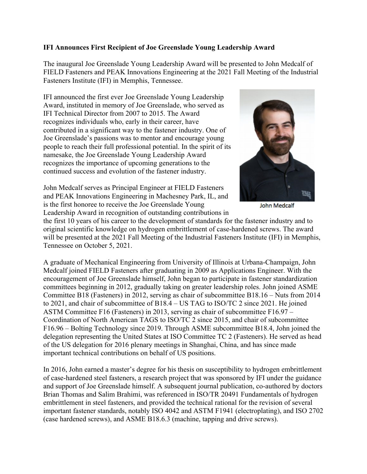## **IFI Announces First Recipient of Joe Greenslade Young Leadership Award**

The inaugural Joe Greenslade Young Leadership Award will be presented to John Medcalf of FIELD Fasteners and PEAK Innovations Engineering at the 2021 Fall Meeting of the Industrial Fasteners Institute (IFI) in Memphis, Tennessee.

IFI announced the first ever Joe Greenslade Young Leadership Award, instituted in memory of Joe Greenslade, who served as IFI Technical Director from 2007 to 2015. The Award recognizes individuals who, early in their career, have contributed in a significant way to the fastener industry. One of Joe Greenslade's passions was to mentor and encourage young people to reach their full professional potential. In the spirit of its namesake, the Joe Greenslade Young Leadership Award recognizes the importance of upcoming generations to the continued success and evolution of the fastener industry.





**John Medcalf** 

the first 10 years of his career to the development of standards for the fastener industry and to original scientific knowledge on hydrogen embrittlement of case-hardened screws. The award will be presented at the 2021 Fall Meeting of the Industrial Fasteners Institute (IFI) in Memphis, Tennessee on October 5, 2021.

A graduate of Mechanical Engineering from University of Illinois at Urbana-Champaign, John Medcalf joined FIELD Fasteners after graduating in 2009 as Applications Engineer. With the encouragement of Joe Greenslade himself, John began to participate in fastener standardization committees beginning in 2012, gradually taking on greater leadership roles. John joined ASME Committee B18 (Fasteners) in 2012, serving as chair of subcommittee B18.16 – Nuts from 2014 to 2021, and chair of subcommittee of B18.4 – US TAG to ISO/TC 2 since 2021. He joined ASTM Committee F16 (Fasteners) in 2013, serving as chair of subcommittee F16.97 – Coordination of North American TAGS to ISO/TC 2 since 2015, and chair of subcommittee F16.96 – Bolting Technology since 2019. Through ASME subcommittee B18.4, John joined the delegation representing the United States at ISO Committee TC 2 (Fasteners). He served as head of the US delegation for 2016 plenary meetings in Shanghai, China, and has since made important technical contributions on behalf of US positions.

In 2016, John earned a master's degree for his thesis on susceptibility to hydrogen embrittlement of case-hardened steel fasteners, a research project that was sponsored by IFI under the guidance and support of Joe Greenslade himself. A subsequent journal publication, co-authored by doctors Brian Thomas and Salim Brahimi, was referenced in ISO/TR 20491 Fundamentals of hydrogen embrittlement in steel fasteners, and provided the technical rational for the revision of several important fastener standards, notably ISO 4042 and ASTM F1941 (electroplating), and ISO 2702 (case hardened screws), and ASME B18.6.3 (machine, tapping and drive screws).